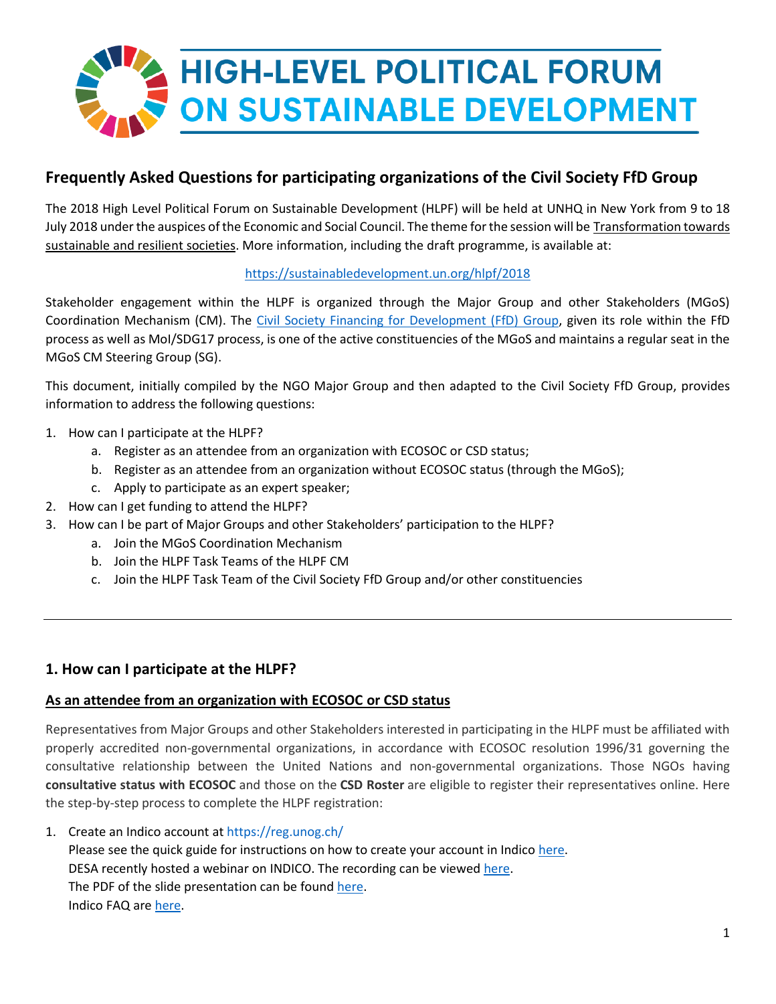

# **Frequently Asked Questions for participating organizations of the Civil Society FfD Group**

The 2018 High Level Political Forum on Sustainable Development (HLPF) will be held at UNHQ in New York from 9 to 18 July 2018 under the auspices of the Economic and Social Council. The theme for the session will be Transformation towards sustainable and resilient societies. More information, including the draft programme, is available at:

### <https://sustainabledevelopment.un.org/hlpf/2018>

Stakeholder engagement within the HLPF is organized through the Major Group and other Stakeholders (MGoS) Coordination Mechanism (CM). The [Civil Society Financing for Development \(FfD\) Group,](https://csoforffd.org/) given its role within the FfD process as well as MoI/SDG17 process, is one of the active constituencies of the MGoS and maintains a regular seat in the MGoS CM Steering Group (SG).

This document, initially compiled by the NGO Major Group and then adapted to the Civil Society FfD Group, provides information to address the following questions:

- 1. How can I participate at the HLPF?
	- a. Register as an attendee from an organization with ECOSOC or CSD status;
	- b. Register as an attendee from an organization without ECOSOC status (through the MGoS);
	- c. Apply to participate as an expert speaker;
- 2. How can I get funding to attend the HLPF?
- 3. How can I be part of Major Groups and other Stakeholders' participation to the HLPF?
	- a. Join the MGoS Coordination Mechanism
	- b. Join the HLPF Task Teams of the HLPF CM
	- c. Join the HLPF Task Team of the Civil Society FfD Group and/or other constituencies

## **1. How can I participate at the HLPF?**

#### **As an attendee from an organization with ECOSOC or CSD status**

Representatives from Major Groups and other Stakeholders interested in participating in the HLPF must be affiliated with properly accredited non-governmental organizations, in accordance with ECOSOC resolution 1996/31 governing the consultative relationship between the United Nations and non-governmental organizations. Those NGOs having **consultative status with ECOSOC** and those on the **CSD Roster** are eligible to register their representatives online. Here the step-by-step process to complete the HLPF registration:

1. Create an Indico account at <https://reg.unog.ch/>

Please see the quick guide for instructions on how to create your account in Indico [here.](http://csonet.org/content/documents/Indico_Quick_Guide_for_NGO_Participants.pdf) DESA recently hosted a webinar on INDICO. The recording can be viewed [here.](https://youtu.be/33Do2LpNRj4) The PDF of the slide presentation can be found [here.](http://csonet.org/content/documents/Indico-Webinar-NGO-FocalPoints-15December.pdf) Indico FAQ are [here.](https://drive.google.com/file/d/1gVk3-Ur4kGRWBLZiL-lYR0x_UMO9fJ0X/view?usp=sharing)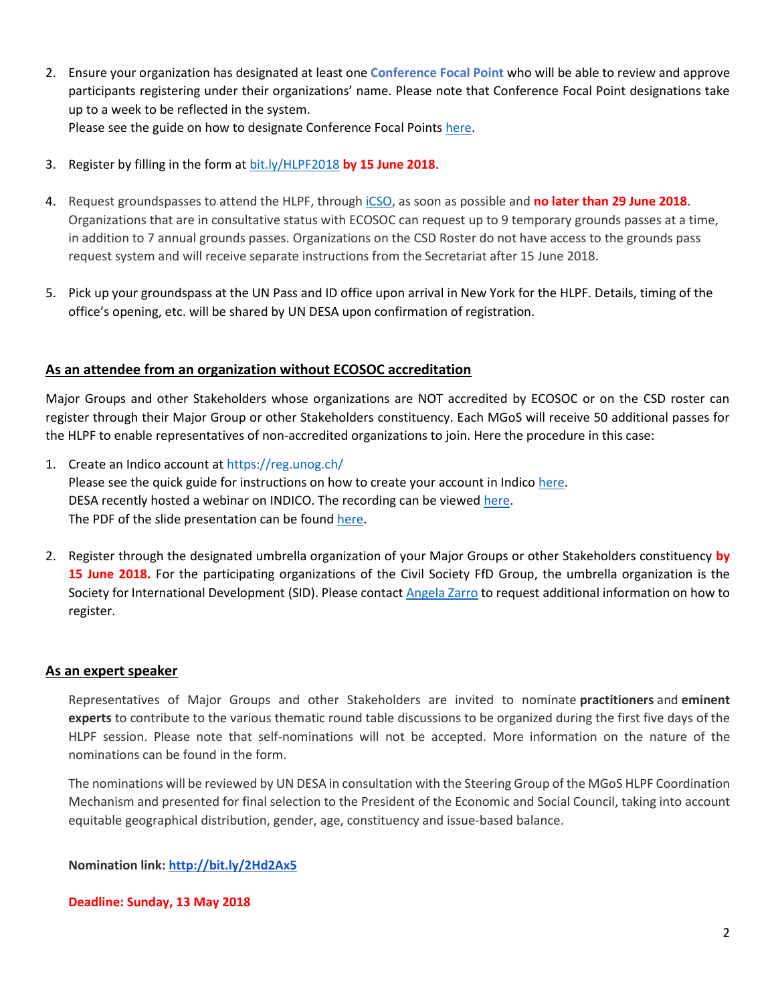- 2. Ensure your organization has designated at least one **Conference Focal Point** who will be able to review and approve participants registering under their organizations' name. Please note that Conference Focal Point designations take up to a week to be reflected in the system. Please see the guide on how to designate Conference Focal Points [here.](http://bit.ly/indico-cfps-getting-started)
- 3. Register by filling in the form at [bit.ly/HLPF2018](http://bit.ly/HLPF2018) **by 15 June 2018**.
- 4. Request groundspasses to attend the HLPF, throug[h iCSO,](http://csonet.org/?menu=86) as soon as possible and **no later than 29 June 2018**. Organizations that are in consultative status with ECOSOC can request up to 9 temporary grounds passes at a time, in addition to 7 annual grounds passes. Organizations on the CSD Roster do not have access to the grounds pass request system and will receive separate instructions from the Secretariat after 15 June 2018.
- 5. Pick up your groundspass at the UN Pass and ID office upon arrival in New York for the HLPF. Details, timing of the office's opening, etc. will be shared by UN DESA upon confirmation of registration.

#### **As an attendee from an organization without ECOSOC accreditation**

Major Groups and other Stakeholders whose organizations are NOT accredited by ECOSOC or on the CSD roster can register through their Major Group or other Stakeholders constituency. Each MGoS will receive 50 additional passes for the HLPF to enable representatives of non-accredited organizations to join. Here the procedure in this case:

- 1. Create an Indico account at <https://reg.unog.ch/> Please see the quick guide for instructions on how to create your account in Indico [here.](http://csonet.org/content/documents/Indico_Quick_Guide_for_NGO_Participants.pdf) DESA recently hosted a webinar on INDICO. The recording can be viewed [here.](https://youtu.be/33Do2LpNRj4) The PDF of the slide presentation can be found [here.](http://csonet.org/content/documents/Indico-Webinar-NGO-FocalPoints-15December.pdf)
- 2. Register through the designated umbrella organization of your Major Groups or other Stakeholders constituency **by 15 June 2018.** For the participating organizations of the Civil Society FfD Group, the umbrella organization is the Society for International Development (SID). Please contac[t Angela Zarro](mailto:azarro@sidint.org) to request additional information on how to register.

#### **As an expert speaker**

Representatives of Major Groups and other Stakeholders are invited to nominate **practitioners** and **eminent experts** to contribute to the various thematic round table discussions to be organized during the first five days of the HLPF session. Please note that self-nominations will not be accepted. More information on the nature of the nominations can be found in the form.

The nominations will be reviewed by UN DESA in consultation with the Steering Group of the MGoS HLPF Coordination Mechanism and presented for final selection to the President of the Economic and Social Council, taking into account equitable geographical distribution, gender, age, constituency and issue-based balance.

**Nomination link: <http://bit.ly/2Hd2Ax5>**

#### **Deadline: Sunday, 13 May 2018**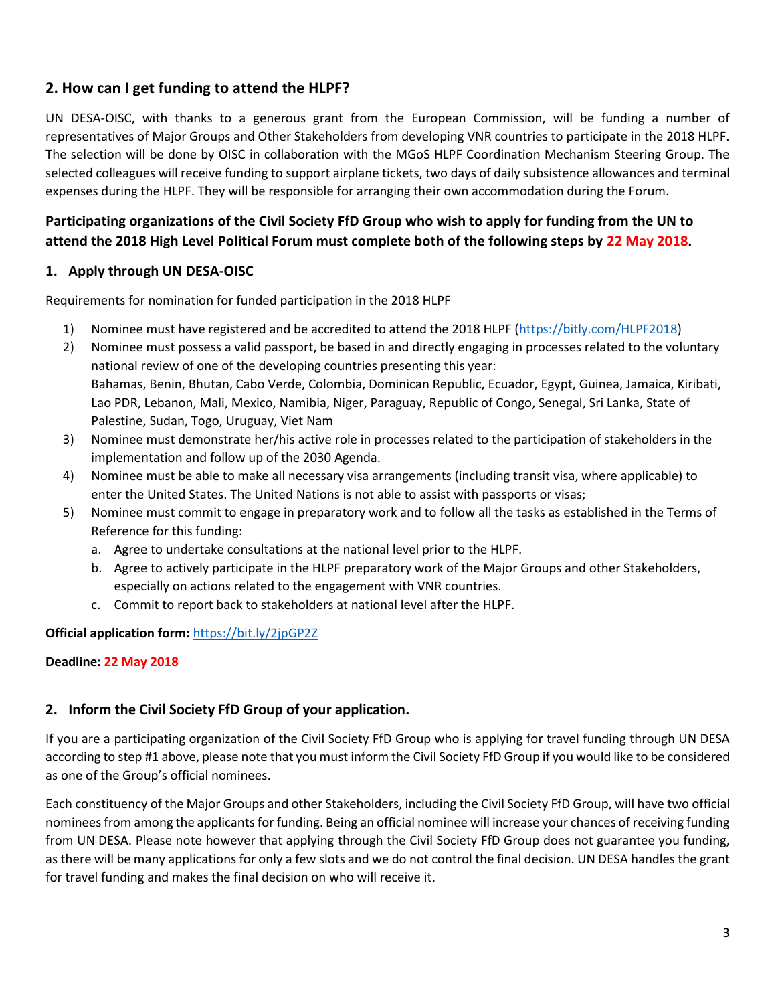# **2. How can I get funding to attend the HLPF?**

UN DESA-OISC, with thanks to a generous grant from the European Commission, will be funding a number of representatives of Major Groups and Other Stakeholders from developing VNR countries to participate in the 2018 HLPF. The selection will be done by OISC in collaboration with the MGoS HLPF Coordination Mechanism Steering Group. The selected colleagues will receive funding to support airplane tickets, two days of daily subsistence allowances and terminal expenses during the HLPF. They will be responsible for arranging their own accommodation during the Forum.

# **Participating organizations of the Civil Society FfD Group who wish to apply for funding from the UN to attend the 2018 High Level Political Forum must complete both of the following steps by 22 May 2018.**

#### **1. Apply through UN DESA-OISC**

Requirements for nomination for funded participation in the 2018 HLPF

- 1) Nominee must have registered and be accredited to attend the 2018 HLPF [\(https://bitly.com/HLPF2018\)](https://bitly.com/HLPF2018)
- 2) Nominee must possess a valid passport, be based in and directly engaging in processes related to the voluntary national review of one of the developing countries presenting this year: Bahamas, Benin, Bhutan, Cabo Verde, Colombia, Dominican Republic, Ecuador, Egypt, Guinea, Jamaica, Kiribati, Lao PDR, Lebanon, Mali, Mexico, Namibia, Niger, Paraguay, Republic of Congo, Senegal, Sri Lanka, State of Palestine, Sudan, Togo, Uruguay, Viet Nam
- 3) Nominee must demonstrate her/his active role in processes related to the participation of stakeholders in the implementation and follow up of the 2030 Agenda.
- 4) Nominee must be able to make all necessary visa arrangements (including transit visa, where applicable) to enter the United States. The United Nations is not able to assist with passports or visas;
- 5) Nominee must commit to engage in preparatory work and to follow all the tasks as established in the Terms of Reference for this funding:
	- a. Agree to undertake consultations at the national level prior to the HLPF.
	- b. Agree to actively participate in the HLPF preparatory work of the Major Groups and other Stakeholders, especially on actions related to the engagement with VNR countries.
	- c. Commit to report back to stakeholders at national level after the HLPF.

**Official application form:** <https://bit.ly/2jpGP2Z>

#### **Deadline: 22 May 2018**

#### **2. Inform the Civil Society FfD Group of your application.**

If you are a participating organization of the Civil Society FfD Group who is applying for travel funding through UN DESA according to step #1 above, please note that you must inform the Civil Society FfD Group if you would like to be considered as one of the Group's official nominees.

Each constituency of the Major Groups and other Stakeholders, including the Civil Society FfD Group, will have two official nominees from among the applicants for funding. Being an official nominee will increase your chances of receiving funding from UN DESA. Please note however that applying through the Civil Society FfD Group does not guarantee you funding, as there will be many applications for only a few slots and we do not control the final decision. UN DESA handles the grant for travel funding and makes the final decision on who will receive it.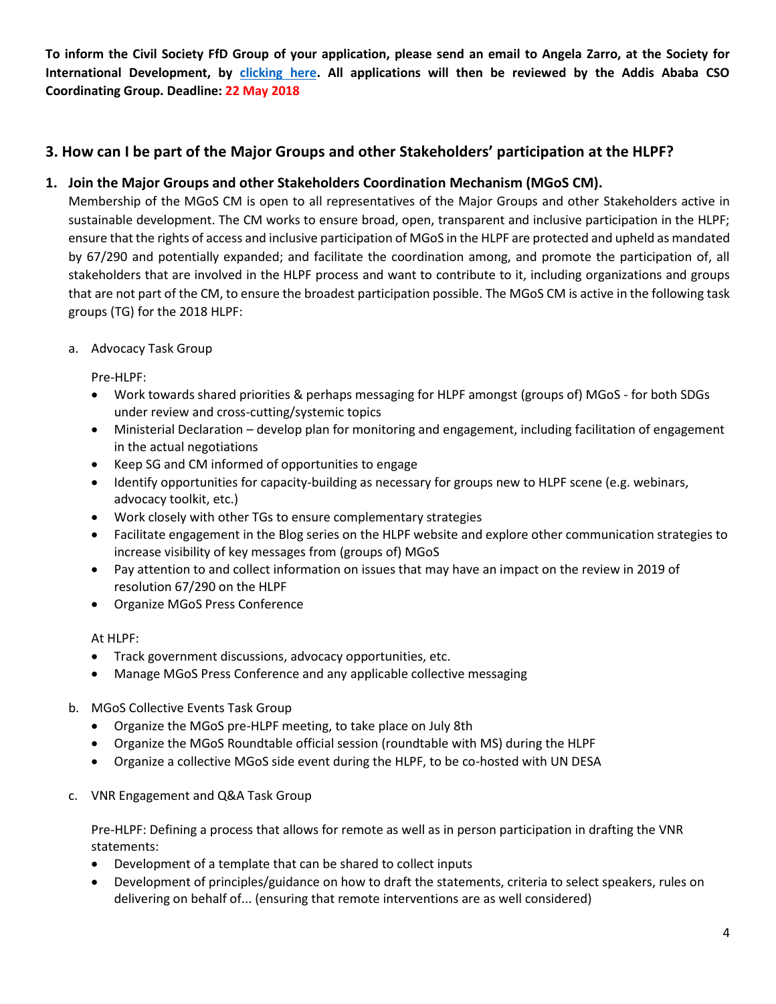**To inform the Civil Society FfD Group of your application, please send an email to Angela Zarro, at the Society for International Development, by [clicking here.](mailto:azarro@sidint.org) All applications will then be reviewed by the Addis Ababa CSO Coordinating Group. Deadline: 22 May 2018**

# **3. How can I be part of the Major Groups and other Stakeholders' participation at the HLPF?**

# **1. Join the Major Groups and other Stakeholders Coordination Mechanism (MGoS CM).**

Membership of the MGoS CM is open to all representatives of the Major Groups and other Stakeholders active in sustainable development. The CM works to ensure broad, open, transparent and inclusive participation in the HLPF; ensure that the rights of access and inclusive participation of MGoS in the HLPF are protected and upheld as mandated by 67/290 and potentially expanded; and facilitate the coordination among, and promote the participation of, all stakeholders that are involved in the HLPF process and want to contribute to it, including organizations and groups that are not part of the CM, to ensure the broadest participation possible. The MGoS CM is active in the following task groups (TG) for the 2018 HLPF:

### a. Advocacy Task Group

Pre-HLPF:

- Work towards shared priorities & perhaps messaging for HLPF amongst (groups of) MGoS for both SDGs under review and cross-cutting/systemic topics
- Ministerial Declaration develop plan for monitoring and engagement, including facilitation of engagement in the actual negotiations
- Keep SG and CM informed of opportunities to engage
- Identify opportunities for capacity-building as necessary for groups new to HLPF scene (e.g. webinars, advocacy toolkit, etc.)
- Work closely with other TGs to ensure complementary strategies
- Facilitate engagement in the Blog series on the HLPF website and explore other communication strategies to increase visibility of key messages from (groups of) MGoS
- Pay attention to and collect information on issues that may have an impact on the review in 2019 of resolution 67/290 on the HLPF
- Organize MGoS Press Conference

At HLPF:

- Track government discussions, advocacy opportunities, etc.
- Manage MGoS Press Conference and any applicable collective messaging
- b. MGoS Collective Events Task Group
	- Organize the MGoS pre-HLPF meeting, to take place on July 8th
	- Organize the MGoS Roundtable official session (roundtable with MS) during the HLPF
	- Organize a collective MGoS side event during the HLPF, to be co-hosted with UN DESA
- c. VNR Engagement and Q&A Task Group

Pre-HLPF: Defining a process that allows for remote as well as in person participation in drafting the VNR statements:

- Development of a template that can be shared to collect inputs
- Development of principles/guidance on how to draft the statements, criteria to select speakers, rules on delivering on behalf of... (ensuring that remote interventions are as well considered)